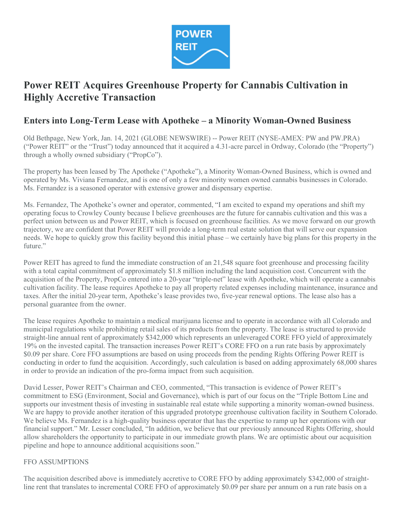

# Power REIT Acquires Greenhouse Property for Cannabis Cultivation in Highly Accretive Transaction

# Enters into Long-Term Lease with Apotheke – a Minority Woman-Owned Business

Old Bethpage, New York, Jan. 14, 2021 (GLOBE NEWSWIRE) -- Power REIT (NYSE-AMEX: PW and PW.PRA) ("Power REIT" or the "Trust") today announced that it acquired a 4.31-acre parcel in Ordway, Colorado (the "Property") through a wholly owned subsidiary ("PropCo").

The property has been leased by The Apotheke ("Apotheke"), a Minority Woman-Owned Business, which is owned and operated by Ms. Viviana Fernandez, and is one of only a few minority women owned cannabis businesses in Colorado. Ms. Fernandez is a seasoned operator with extensive grower and dispensary expertise.

Ms. Fernandez, The Apotheke's owner and operator, commented, "I am excited to expand my operations and shift my operating focus to Crowley County because I believe greenhouses are the future for cannabis cultivation and this was a perfect union between us and Power REIT, which is focused on greenhouse facilities. As we move forward on our growth trajectory, we are confident that Power REIT will provide a long-term real estate solution that will serve our expansion needs. We hope to quickly grow this facility beyond this initial phase – we certainly have big plans for this property in the future."

Power REIT has agreed to fund the immediate construction of an 21,548 square foot greenhouse and processing facility with a total capital commitment of approximately \$1.8 million including the land acquisition cost. Concurrent with the acquisition of the Property, PropCo entered into a 20-year "triple-net" lease with Apotheke, which will operate a cannabis cultivation facility. The lease requires Apotheke to pay all property related expenses including maintenance, insurance and taxes. After the initial 20-year term, Apotheke's lease provides two, five-year renewal options. The lease also has a personal guarantee from the owner.

The lease requires Apotheke to maintain a medical marijuana license and to operate in accordance with all Colorado and municipal regulations while prohibiting retail sales of its products from the property. The lease is structured to provide straight-line annual rent of approximately \$342,000 which represents an unleveraged CORE FFO yield of approximately 19% on the invested capital. The transaction increases Power REIT's CORE FFO on a run rate basis by approximately \$0.09 per share. Core FFO assumptions are based on using proceeds from the pending Rights Offering Power REIT is conducting in order to fund the acquisition. Accordingly, such calculation is based on adding approximately 68,000 shares in order to provide an indication of the pro-forma impact from such acquisition.

David Lesser, Power REIT's Chairman and CEO, commented, "This transaction is evidence of Power REIT's commitment to ESG (Environment, Social and Governance), which is part of our focus on the "Triple Bottom Line and supports our investment thesis of investing in sustainable real estate while supporting a minority woman-owned business. We are happy to provide another iteration of this upgraded prototype greenhouse cultivation facility in Southern Colorado. We believe Ms. Fernandez is a high-quality business operator that has the expertise to ramp up her operations with our financial support." Mr. Lesser concluded, "In addition, we believe that our previously announced Rights Offering, should allow shareholders the opportunity to participate in our immediate growth plans. We are optimistic about our acquisition pipeline and hope to announce additional acquisitions soon."

## FFO ASSUMPTIONS

The acquisition described above is immediately accretive to CORE FFO by adding approximately \$342,000 of straightline rent that translates to incremental CORE FFO of approximately \$0.09 per share per annum on a run rate basis on a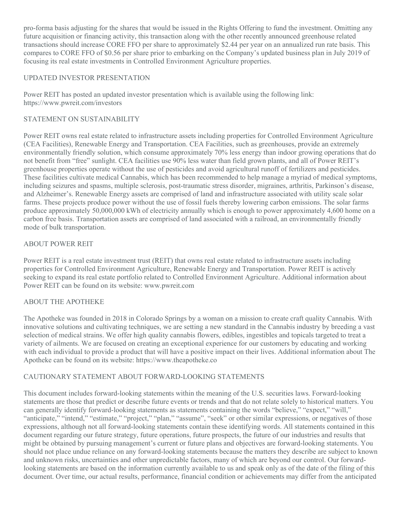pro-forma basis adjusting for the shares that would be issued in the Rights Offering to fund the investment. Omitting any future acquisition or financing activity, this transaction along with the other recently announced greenhouse related transactions should increase CORE FFO per share to approximately \$2.44 per year on an annualized run rate basis. This compares to CORE FFO of \$0.56 per share prior to embarking on the Company's updated business plan in July 2019 of focusing its real estate investments in Controlled Environment Agriculture properties.

## UPDATED INVESTOR PRESENTATION

Power REIT has posted an updated investor presentation which is available using the following link: https://www.pwreit.com/investors

# STATEMENT ON SUSTAINABILITY

Power REIT owns real estate related to infrastructure assets including properties for Controlled Environment Agriculture (CEA Facilities), Renewable Energy and Transportation. CEA Facilities, such as greenhouses, provide an extremely environmentally friendly solution, which consume approximately 70% less energy than indoor growing operations that do not benefit from "free" sunlight. CEA facilities use 90% less water than field grown plants, and all of Power REIT's greenhouse properties operate without the use of pesticides and avoid agricultural runoff of fertilizers and pesticides. These facilities cultivate medical Cannabis, which has been recommended to help manage a myriad of medical symptoms, including seizures and spasms, multiple sclerosis, post-traumatic stress disorder, migraines, arthritis, Parkinson's disease, and Alzheimer's. Renewable Energy assets are comprised of land and infrastructure associated with utility scale solar farms. These projects produce power without the use of fossil fuels thereby lowering carbon emissions. The solar farms produce approximately 50,000,000 kWh of electricity annually which is enough to power approximately 4,600 home on a carbon free basis. Transportation assets are comprised of land associated with a railroad, an environmentally friendly mode of bulk transportation.

# ABOUT POWER REIT

Power REIT is a real estate investment trust (REIT) that owns real estate related to infrastructure assets including properties for Controlled Environment Agriculture, Renewable Energy and Transportation. Power REIT is actively seeking to expand its real estate portfolio related to Controlled Environment Agriculture. Additional information about Power REIT can be found on its website: www.pwreit.com

## ABOUT THE APOTHEKE

The Apotheke was founded in 2018 in Colorado Springs by a woman on a mission to create craft quality Cannabis. With innovative solutions and cultivating techniques, we are setting a new standard in the Cannabis industry by breeding a vast selection of medical strains. We offer high quality cannabis flowers, edibles, ingestibles and topicals targeted to treat a variety of ailments. We are focused on creating an exceptional experience for our customers by educating and working with each individual to provide a product that will have a positive impact on their lives. Additional information about The Apotheke can be found on its website: https://www.theapotheke.co

## CAUTIONARY STATEMENT ABOUT FORWARD-LOOKING STATEMENTS

This document includes forward-looking statements within the meaning of the U.S. securities laws. Forward-looking statements are those that predict or describe future events or trends and that do not relate solely to historical matters. You can generally identify forward-looking statements as statements containing the words "believe," "expect," "will," "anticipate," "intend," "estimate," "project," "plan," "assume", "seek" or other similar expressions, or negatives of those expressions, although not all forward-looking statements contain these identifying words. All statements contained in this document regarding our future strategy, future operations, future prospects, the future of our industries and results that might be obtained by pursuing management's current or future plans and objectives are forward-looking statements. You should not place undue reliance on any forward-looking statements because the matters they describe are subject to known and unknown risks, uncertainties and other unpredictable factors, many of which are beyond our control. Our forwardlooking statements are based on the information currently available to us and speak only as of the date of the filing of this document. Over time, our actual results, performance, financial condition or achievements may differ from the anticipated